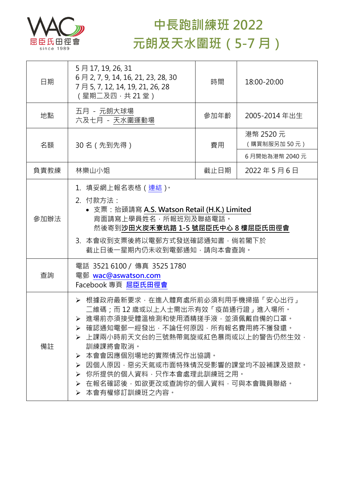

## **中長跑訓練班 2022 元朗及天水圍班(5-7 月)**

| 日期   | 5月17, 19, 26, 31<br>6月 2, 7, 9, 14, 16, 21, 23, 28, 30<br>7 月 5, 7, 12, 14, 19, 21, 26, 28<br>(星期二及四,共 21 堂)                                                                                                                                                                                                                                                                     | 時間   | 18:00-20:00              |  |
|------|----------------------------------------------------------------------------------------------------------------------------------------------------------------------------------------------------------------------------------------------------------------------------------------------------------------------------------------------------------------------------------|------|--------------------------|--|
| 地點   | 五月 - 元朗大球場<br>六及七月 - 天水圍運動場                                                                                                                                                                                                                                                                                                                                                      | 參加年齡 | 2005-2014年出生             |  |
| 名額   | 30 名(先到先得)                                                                                                                                                                                                                                                                                                                                                                       | 費用   | 港幣 2520 元<br>(購買制服另加50元) |  |
|      |                                                                                                                                                                                                                                                                                                                                                                                  |      | 6月開始為港幣 2040元            |  |
| 負責教練 | 林樂山小姐                                                                                                                                                                                                                                                                                                                                                                            | 截止日期 | 2022年5月6日                |  |
| 參加辦法 | 1.填妥網上報名表格(連結) <sup>。</sup><br>2. 付款方法:<br>• 支票: 抬頭請寫 A.S. Watson Retail (H.K.) Limited<br>背面請寫上學員姓名,所報班別及聯絡電話。<br>然後寄到沙田火炭禾寮坑路 1-5 號屈臣氏中心 8 樓屈臣氏田徑會<br>3. 本會收到支票後將以電郵方式發送確認通知書,倘若閣下於<br>截止日後一星期內仍未收到電郵通知,請向本會查詢。                                                                                                                                                                |      |                          |  |
| 查詢   | 電話 35216100 / 傳真 3525 1780<br>電郵 wac@aswatson.com<br>Facebook 專頁 屈臣氏田徑會                                                                                                                                                                                                                                                                                                          |      |                          |  |
| 備註   | ▶ 根據政府最新要求,在進入體育處所前必須利用手機掃描「安心出行」<br>二維碼;而 12 歲或以上人士需出示有效「疫苗通行證」進入場所。<br>進場前亦須接受體溫檢測和使用酒精搓手液,並須佩戴自備的口罩。<br>➢ 確認通知電郵一經發出,不論任何原因,所有報名費用將不獲發還。<br>▶ 上課兩小時前天文台的三號熱帶氣旋或紅色暴雨或以上的警告仍然生效,<br>訓練課將會取消。<br>本會會因應個別場地的實際情況作出協調。<br>➤<br>因個人原因,惡劣天氣或市面特殊情況受影響的課堂均不設補課及退款。<br>➤<br>你所提供的個人資料,只作本會處理此訓練班之用。<br>➤<br>在報名確認後,如欲更改或查詢你的個人資料,可與本會職員聯絡。<br>$\blacktriangleright$<br>> 本會有權修訂訓練班之內容。 |      |                          |  |